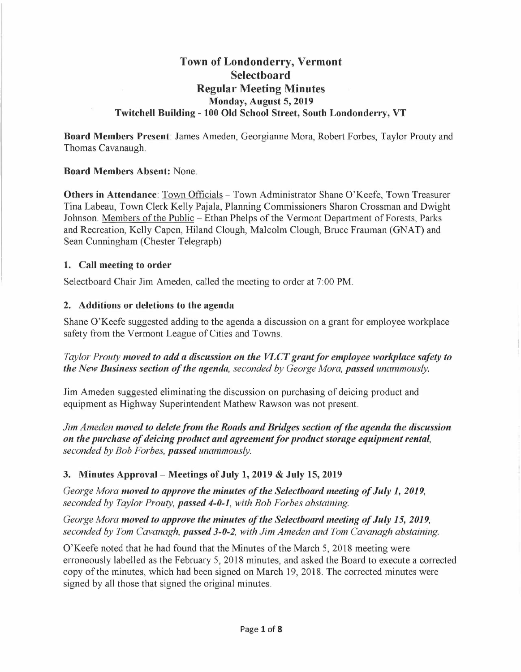# **Town of Londonderry, Vermont Selectboard Regular Meeting Minutes Monday, August 5, 2019 Twitchell Building - 100 Old School Street, South Londonderry, VT**

**Board Members Present:** James Ameden, Georgianne Mora, Robert Forbes, Taylor Prouty and Thomas Cavanaugh.

#### **Board Members Absent:** None.

**Others in Attendance:** Town Officials - Town Administrator Shane O'Keefe, Town Treasurer Tina Labeau, Town Clerk Kelly Pajala, Planning Commissioners Sharon Crossman and Dwight Johnson. Members of the Public - Ethan Phelps of the Vermont Department of Forests, Parks and Recreation, Kelly Capen, Hiland Clough, Malcolm Clough, Bruce Frauman (GNAT) and Sean Cunningham (Chester Telegraph)

#### **1. Call meeting to order**

Selectboard Chair Jim Ameden, called the meeting to order at 7:00 PM.

#### **2. Additions or deletions to the agenda**

Shane O'Keefe suggested adding to the agenda a discussion on a grant for employee workplace safety from the Vermont League of Cities and Towns.

## *Taylor Prouty moved to add a discussion on the VLCT grant for employee workplace safety to the New Business section of the agenda, seconded by George Mora, passed unanimously.*

Jim Ameden suggested eliminating the discussion on purchasing of deicing product and equipment as Highway Superintendent Mathew Rawson was not present.

*Jim Ameden moved to delete from the Roads and Bridges section of the agenda the discussion on the purchase of deicing product and agreement for product storage equipment rental, seconded by Bob Forbes, passed unanimously.* 

## **3. Minutes Approval - Meetings of July 1, 2019** & **July 15, 2019**

*George Mora moved to approve the minutes of the Selectboard meeting of July 1, 2019, seconded by Taylor Prouty, passed 4-0-1, with Bob Forbes abstaining.* 

*George Mora moved to approve the minutes of the Selectboard meeting of July 15, 2019, seconded by Tom Cavanagh, passed 3-0-2, with Jim Ameden and Tom Cavanagh abstaining.* 

O'Keefe noted that he had found that the Minutes of the March 5, 2018 meeting were erroneously labelled as the February 5, 2018 minutes, and asked the Board to execute a corrected copy of the minutes, which had been signed on March 19, 2018. The corrected minutes were signed by all those that signed the original minutes.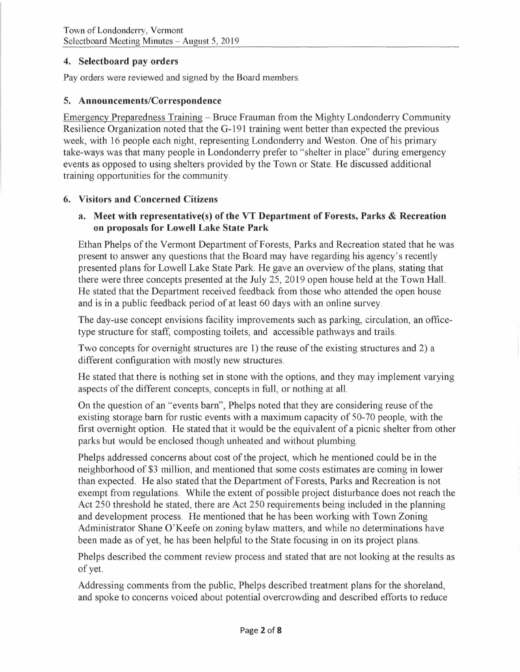#### **4. Selectboard pay orders**

Pay orders were reviewed and signed by the Board members.

#### **5. Announcements/Correspondence**

Emergency Preparedness Training - Bruce Frauman from the Mighty Londonderry Community Resilience Organization noted that the G-191 training went better than expected the previous week, with 16 people each night, representing Londonderry and Weston. One of his primary take-ways was that many people in Londonderry prefer to "shelter in place" during emergency events as opposed to using shelters provided by the Town or State. He discussed additional training opportunities for the community.

#### **6. Visitors and Concerned Citizens**

#### **a. Meet with representative(s) of the VT Department of Forests, Parks & Recreation on proposals for Lowell Lake State Park**

Ethan Phelps of the Vermont Department of Forests, Parks and Recreation stated that he was present to answer any questions that the Board may have regarding his agency's recently presented plans for Lowell Lake State Park. He gave an overview of the plans, stating that there were three concepts presented at the July 25, 2019 open house held at the Town Hall. He stated that the Department received feedback from those who attended the open house and is in a public feedback period of at least 60 days with an online survey.

The day-use concept envisions facility improvements such as parking, circulation, an officetype structure for staff, composting toilets, and accessible pathways and trails.

Two concepts for overnight structures are 1) the reuse of the existing structures and 2) a different configuration with mostly new structures.

He stated that there is nothing set in stone with the options, and they may implement varying aspects of the different concepts, concepts in full, or nothing at all.

On the question of an "events barn", Phelps noted that they are considering reuse of the existing storage barn for rustic events with a maximum capacity of 50-70 people, with the first overnight option. He stated that it would be the equivalent of a picnic shelter from other parks but would be enclosed though unheated and without plumbing.

Phelps addressed concerns about cost of the project, which he mentioned could be in the neighborhood of \$3 million, and mentioned that some costs estimates are coming in lower than expected. He also stated that the Department of Forests, Parks and Recreation is not exempt from regulations. While the extent of possible project disturbance does not reach the Act 250 threshold he stated, there are Act 250 requirements being included in the planning and development process. He mentioned that he has been working with Town Zoning Administrator Shane O'Keefe on zoning bylaw matters, and while no determinations have been made as of yet, he has been helpful to the State focusing in on its project plans.

Phelps described the comment review process and stated that are not looking at the results as of yet.

Addressing comments from the public, Phelps described treatment plans for the shoreland, and spoke to concerns voiced about potential overcrowding and described efforts to reduce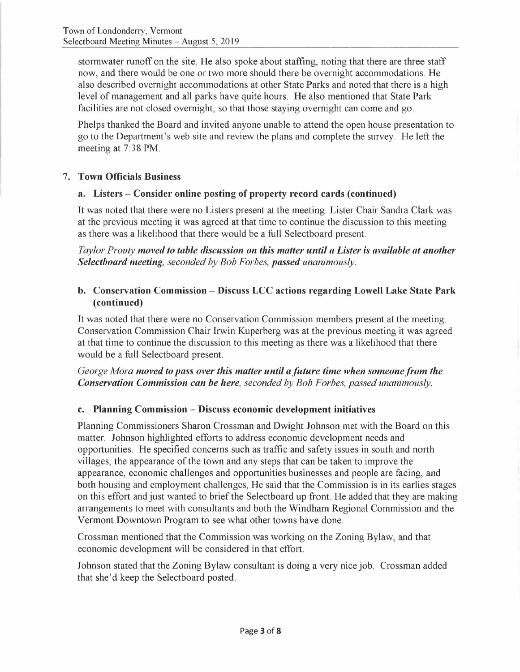stormwater runoff on the site. He also spoke about staffing, noting that there are three staff now, and there would be one or two more should there be overnight accommodations. He also described overnight accommodations at other State Parks and noted that there is a high level of management and all parks have quite hours. He also mentioned that State Park facilities are not closed overnight, so that those staying overnight can come and go.

Phelps thanked the Board and invited anyone unable to attend the open house presentation to go to the Department's web site and review the plans and complete the survey. He left the meeting at 7:38 PM.

## 7. **Town Officials Business**

## **a. Listers - Consider online posting of property record cards ( continued)**

It was noted that there were no Listers present at the meeting. Lister Chair Sandra Clark was at the previous meeting it was agreed at that time to continue the discussion to this meeting as there was a likelihood that there would be a full Selectboard present.

*Taylor Prouty moved to table discussion on this matter until a Lister is available at another Selectboard meeting, seconded by Bob Forbes, passed unanimously.* 

## **b. Conservation Commission - Discuss LCC actions regarding Lowell Lake State Park (continued)**

It was noted that there were no Conservation Commission members present at the meeting. Conservation Commission Chair Irwin Kuperberg was at the previous meeting it was agreed at that time to continue the discussion to this meeting as there was a likelihood that there would be a full Selectboard present.

*George Mora moved to pass over this matter until a future time when someone from the Conservation Commission can be here, seconded by Bob Forbes, passed unanimously.* 

## **c. Planning Commission - Discuss economic development initiatives**

Planning Commissioners Sharon Crossman and Dwight Johnson met with the Board on this matter. Johnson highlighted efforts to address economic development needs and opportunities. He specified concerns such as traffic and safety issues in south and north villages, the appearance of the town and any steps that can be taken to improve the appearance, economic challenges and opportunities businesses and people are facing, and both housing and employment challenges, He said that the Commission is in its earlies stages on this effort and just wanted to brief the Selectboard up front. He added that they are making arrangements to meet with consultants and both the Windham Regional Commission and the Vermont Downtown Program to see what other towns have done.

Crossman mentioned that the Commission was working on the Zoning Bylaw, and that economic development will be considered in that effort.

Johnson stated that the Zoning Bylaw consultant is doing a very nice job. Crossman added that she'd keep the Selectboard posted.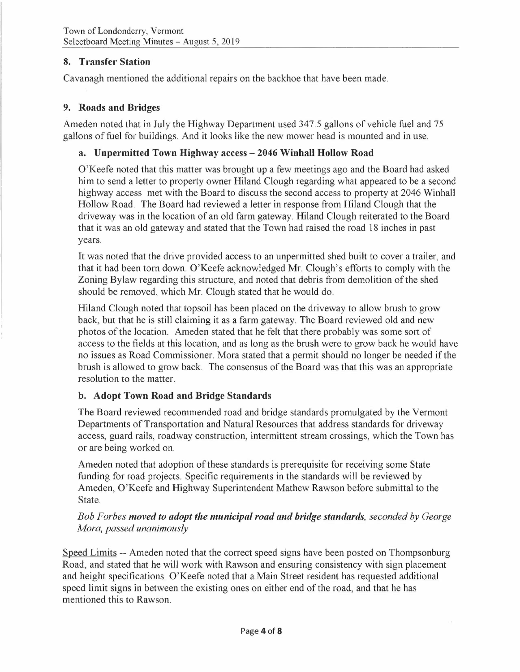# **8. Transfer Station**

Cavanagh mentioned the additional repairs on the backhoe that have been made.

#### **9. Roads and Bridges**

Ameden noted that in July the Highway Department used 347.5 gallons of vehicle fuel and 75 gallons of fuel for buildings. And it looks like the new mower head is mounted and in use.

#### **a. Unpermitted Town Highway access - 2046 Winhall Hollow Road**

O'Keefe noted that this matter was brought up a few meetings ago and the Board had asked him to send a letter to property owner Hiland Clough regarding what appeared to be a second highway access met with the Board to discuss the second access to property at 2046 Winhall Hollow Road. The Board had reviewed a letter in response from Hiland Clough that the driveway was in the location of an old farm gateway. Hiland Clough reiterated to the Board that it was an old gateway and stated that the Town had raised the road 18 inches in past years.

It was noted that the drive provided access to an unpermitted shed built to cover a trailer, and that it had been tom down. O'Keefe acknowledged Mr. Clough's efforts to comply with the Zoning Bylaw regarding this structure, and noted that debris from demolition of the shed should be removed, which Mr. Clough stated that he would do.

Hiland Clough noted that topsoil has been placed on the driveway to allow brush to grow back, but that he is still claiming it as a farm gateway. The Board reviewed old and new photos of the location. Ameden stated that he felt that there probably was some sort of access to the fields at this location, and as long as the brush were to grow back he would have no issues as Road Commissioner. Mora stated that a permit should no longer be needed if the brush is allowed to grow back. The consensus of the Board was that this was an appropriate resolution to the matter.

## **b. Adopt Town Road and Bridge Standards**

The Board reviewed recommended road and bridge standards promulgated by the Vermont Departments of Transportation and Natural Resources that address standards for driveway access, guard rails, roadway construction, intermittent stream crossings, which the Town has or are being worked on.

Am eden noted that adoption of these standards is prerequisite for receiving some State funding for road projects. Specific requirements in the standards will be reviewed by Ameden, O'Keefe and Highway Superintendent Mathew Rawson before submittal to the State.

*Bob Forbes moved to adopt the municipal road and bridge standards, seconded by George Mora, passed unanimously* 

Speed Limits -- Ameden noted that the correct speed signs have been posted on Thompsonburg Road, and stated that he will work with Rawson and ensuring consistency with sign placement and height specifications. O'Keefe noted that a Main Street resident has requested additional speed limit signs in between the existing ones on either end of the road, and that he has mentioned this to Rawson.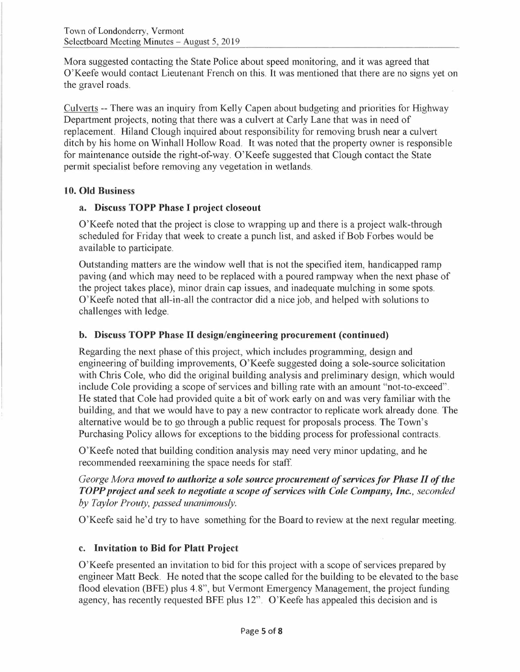Mora suggested contacting the State Police about speed monitoring, and it was agreed that O'Keefe would contact Lieutenant French on this. It was mentioned that there are no signs yet on the gravel roads.

Culverts -- There was an inquiry from Kelly Capen about budgeting and priorities for Highway Department projects, noting that there was a culvert at Carly Lane that was in need of replacement. Hiland Clough inquired about responsibility for removing brush near a culvert ditch by his home on Winhall Hollow Road. It was noted that the property owner is responsible for maintenance outside the right-of-way. O'Keefe suggested that Clough contact the State permit specialist before removing any vegetation in wetlands.

#### **10. Old Business**

## **a. Discuss TOPP Phase** I **project closeout**

O'Keefe noted that the project is close to wrapping up and there is a project walk-through scheduled for Friday that week to create a punch list, and asked if Bob Forbes would be available to participate.

Outstanding matters are the window well that is not the specified item, handicapped ramp paving (and which may need to be replaced with a poured rampway when the next phase of the project takes place), minor drain cap issues, and inadequate mulching in some spots. O'Keefe noted that all-in-all the contractor did a nice job, and helped with solutions to challenges with ledge.

## **b. Discuss TOPP Phase** II **design/engineering procurement (continued)**

Regarding the next phase of this project, which includes programming, design and engineering of building improvements, O'Keefe suggested doing a sole-source solicitation with Chris Cole, who did the original building analysis and preliminary design, which would include Cole providing a scope of services and billing rate with an amount "not-to-exceed". He stated that Cole had provided quite a bit of work early on and was very familiar with the building, and that we would have to pay a new contractor to replicate work already done. The alternative would be to go through a public request for proposals process. The Town's Purchasing Policy allows for exceptions to the bidding process for professional contracts.

O'Keefe noted that building condition analysis may need very minor updating, and he recommended reexamining the space needs for staff

*George Mora moved to authorize a sole source procurement of services for Phase II of the TOPP project and seek to negotiate a scope of services with Cole Company, Inc., seconded by Taylor Prouty, passed unanimously.* 

O'Keefe said he'd try to have something for the Board to review at the next regular meeting.

## **c. Invitation to Bid for Platt Project**

O'Keefe presented an invitation to bid for this project with a scope of services prepared by engineer Matt Beck. He noted that the scope called for the building to be elevated to the base flood elevation (BFE) plus 4.8", but Vermont Emergency Management, the project funding agency, has recently requested BFE plus 12". O'Keefe has appealed this decision and is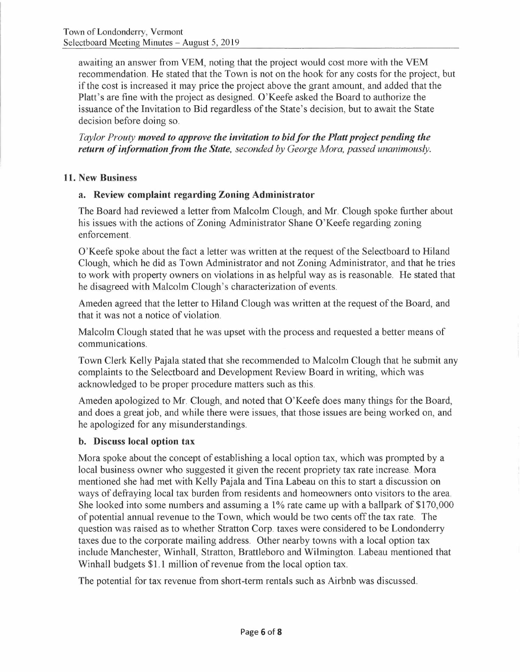awaiting an answer from VEM, noting that the project would cost more with the VEM recommendation. He stated that the Town is not on the hook for any costs for the project, but if the cost is increased it may price the project above the grant amount, and added that the Platt's are fine with the project as designed. O'Keefe asked the Board to authorize the issuance of the Invitation to Bid regardless of the State's decision, but to await the State decision before doing so.

*Taylor Prouty moved to approve the invitation to bid for the Platt project pending the return of information from the State, seconded by George Mora, passed unanimously.* 

# **11. New Business**

# **a. Review complaint regarding Zoning Administrator**

The Board had reviewed a letter from Malcolm Clough, and Mr. Clough spoke further about his issues with the actions of Zoning Administrator Shane O'Keefe regarding zoning enforcement.

O'Keefe spoke about the fact a letter was written at the request of the Selectboard to Hiland Clough, which he did as Town Administrator and not Zoning Administrator, and that he tries to work with property owners on violations in as helpful way as is reasonable. He stated that he disagreed with Malcolm Clough's characterization of events.

Am eden agreed that the letter to Hiland Clough was written at the request of the Board, and that it was not a notice of violation.

Malcolm Clough stated that he was upset with the process and requested a better means of communications.

Town Clerk Kelly Pajala stated that she recommended to Malcolm Clough that he submit any complaints to the Selectboard and Development Review Board in writing, which was acknowledged to be proper procedure matters such as this.

Ameden apologized to Mr. Clough, and noted that O'Keefe does many things for the Board, and does a great job, and while there were issues, that those issues are being worked on, and he apologized for any misunderstandings.

## **b. Discuss local option tax**

Mora spoke about the concept of establishing a local option tax, which was prompted by a local business owner who suggested it given the recent propriety tax rate increase. Mora mentioned she had met with Kelly Pajala and Tina Labeau on this to start a discussion on ways of defraying local tax burden from residents and homeowners onto visitors to the area. She looked into some numbers and assuming a 1% rate came up with a ballpark of \$170,000 of potential annual revenue to the Town, which would be two cents off the tax rate. The question was raised as to whether Stratton Corp. taxes were considered to be Londonderry taxes due to the corporate mailing address. Other nearby towns with a local option tax include Manchester, Winhall, Stratton, Brattleboro and Wilmington. Labeau mentioned that Winhall budgets \$I. I million of revenue from the local option tax.

The potential for tax revenue from short-term rentals such as Airbnb was discussed.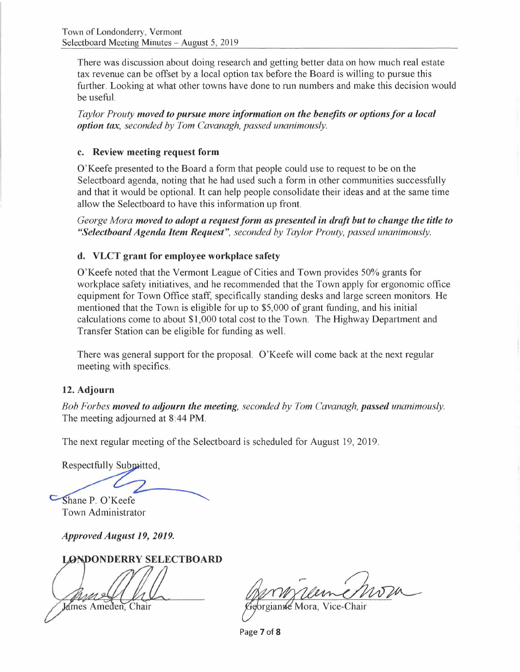There was discussion about doing research and getting better data on how much real estate tax revenue can be offset by a local option tax before the Board is willing to pursue this further. Looking at what other towns have done to run numbers and make this decision would be useful.

*Taylor Prouty moved to pursue more information on the benefits or optionsfor a local option tax, seconded by Tom Cavanagh, passed unanimously.* 

#### **c. Review meeting request form**

O'Keefe presented to the Board a form that people could use to request to be on the Selectboard agenda, noting that he had used such a form in other communities successfully and that it would be optional. It can help people consolidate their ideas and at the same time allow the Selectboard to have this information up front.

*George Mora moved to adopt a request form as presented in draft but to change the title to "Selectboard Agenda Item Request", seconded by Taylor Prouty, passed unanimously.* 

## **d. VLCT grant for employee workplace safety**

O'Keefe noted that the Vermont League of Cities and Town provides 50% grants for workplace safety initiatives, and he recommended that the Town apply for ergonomic office equipment for Town Office staff, specifically standing desks and large screen monitors. He mentioned that the Town is eligible for up to \$5,000 of grant funding, and his initial calculations come to about \$1,000 total cost to the Town. The Highway Department and Transfer Station can be eligible for funding as well.

There was general support for the proposal. O'Keefe will come back at the next regular meeting with specifics.

#### **12. Adjourn**

*Bob Forbes moved to adjourn the meeting, seconded by Tom Cavanagh, passed unanimously.*  The meeting adjourned at 8:44 **PM.** 

The next regular meeting of the Selectboard is scheduled for August 19, 2019.

Respectfully Submitted,

Shane P. O'Keefe

Town Administrator

*Approved August 19, 2019.* 

**LONDONDERRY SELECTBOARD** 

James Ameden. Chair

orgianne Mora, Vice-Chair

Page **7** of **8**